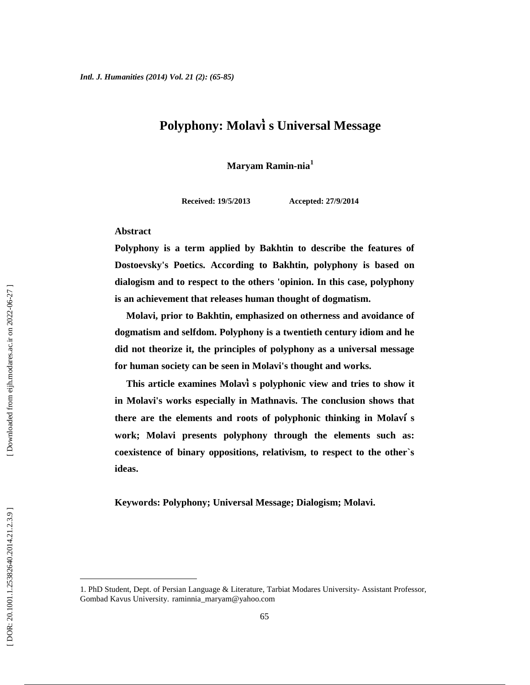# **Polyphony: Molavi s Universal Message**

**Maryam Ramin-nia<sup>1</sup>**

**Received: 19/5/2013 Accepted: 27/9/2014**

#### **Abstract**

**Polyphony is a term applied by Bakhtin to describe the features of Dostoevsky's Poetics. According to Bakhtin, polyphony is based on dialogism and to respect to the others 'opinion. In this case, polyphony is an achievement that releases human thought of dogmatism.**

**Molavi, prior to Bakhtin, emphasized on otherness and avoidance of dogmatism and selfdom. Polyphony is a twentieth century idiom and he did not theorize it, the principles of polyphony as a universal message for human society can be seen in Molavi's thought and works.**

**This article examines Molavi s polyphonic view and tries to show it in Molavi's works especially in Mathnavis. The conclusion shows that there are the elements and roots of polyphonic thinking in Molavi s work; Molavi presents polyphony through the elements such as: coexistence of binary oppositions, relativism, to respect to the other`s ideas.**

**Keywords: Polyphony; Universal Message; Dialogism; Molavi.**

<sup>1.</sup> PhD Student, Dept. of Persian Language & Literature, Tarbiat Modares University- Assistant Professor, Gombad Kavus University. raminnia\_maryam@yahoo.com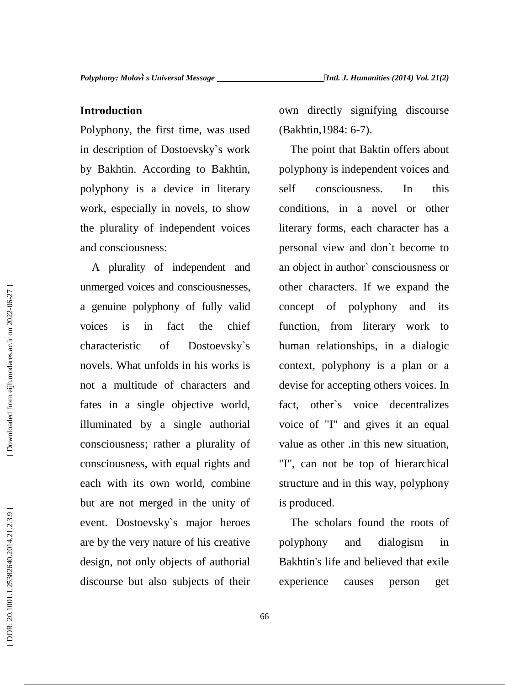### **Introduction**

Polyphony, the first time, was used in description of Dostoevsky`s work by Bakhtin. According to Bakhtin, polyphony is a device in literary work, especially in novels, to show the plurality of independent voices and consciousness:

A plurality of independent and unmerged voices and consciousnesses, a genuine polyphony of fully valid voices is in fact the chief characteristic of Dostoevsky`s novels. What unfolds in his works is not a multitude of characters and fates in a single objective world, illuminated by a single authorial consciousness; rather a plurality of consciousness, with equal rights and each with its own world, combine but are not merged in the unity of event. Dostoevsky`s major heroes are by the very nature of his creative design, not only objects of authorial discourse but also subjects of their

own directly signifying discourse (Bakhtin,1984: 6-7).

The point that Baktin offers about polyphony is independent voices and consciousness. In this conditions, in a novel or other literary forms, each character has a personal view and don`t become to an object in author` consciousness or other characters. If we expand the concept of polyphony and its function, from literary work to human relationships, in a dialogic context, polyphony is a plan or a devise for accepting others voices. In fact, other`s voice decentralizes voice of "I" and gives it an equal value as other .in this new situation, "I", can not be top of hierarchical structure and in this way, polyphony is produced.

The scholars found the roots of polyphony and dialogism in Bakhtin's life and believed that exile experience causes person get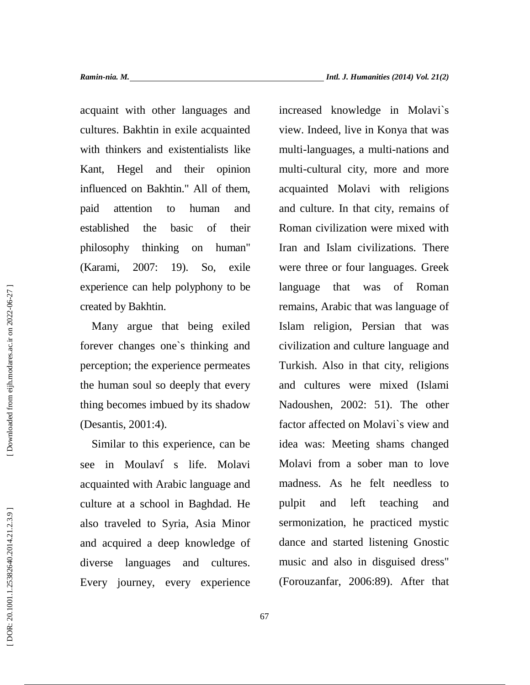acquaint with other languages and cultures. Bakhtin in exile acquainted with thinkers and existentialists like Kant, Hegel and their opinion influenced on Bakhtin." All of them, paid attention to human and established the basic of their philosophy thinking on human" (Karami, 2007: 19). So, exile experience can help polyphony to be created by Bakhtin.

Many argue that being exiled forever changes one`s thinking and perception; the experience permeates the human soul so deeply that every thing becomes imbued by its shadow (Desantis, 2001:4).

Similar to this experience, can be see in Moulavi s life. Molavi acquainted with Arabic language and culture at a school in Baghdad. He also traveled to Syria, Asia Minor and acquired a deep knowledge of diverse languages and cultures. Every journey, every experience

increased knowledge in Molavi`s view. Indeed, live in Konya that was multi-languages, a multi-nations and multi-cultural city, more and more acquainted Molavi with religions and culture. In that city, remains of Roman civilization were mixed with Iran and Islam civilizations. There were three or four languages. Greek language that was of Roman remains, Arabic that was language of Islam religion, Persian that was civilization and culture language and Turkish. Also in that city, religions and cultures were mixed (Islami Nadoushen, 2002: 51). The other factor affected on Molavi`s view and idea was: Meeting shams changed Molavi from a sober man to love madness. As he felt needless to and left teaching and sermonization, he practiced mystic dance and started listening Gnostic music and also in disguised dress" (Forouzanfar, 2006:89). After that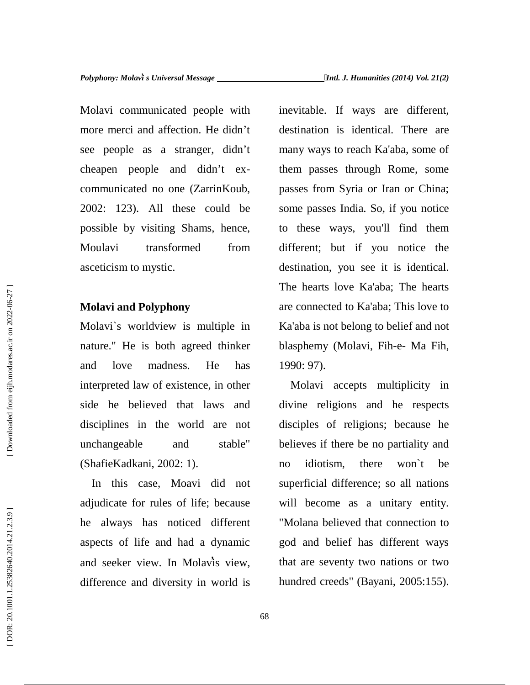Molavi communicated people with more merci and affection. He didn't see people as a stranger, didn't cheapen people and didn't ex communicated no one (ZarrinKoub, 2002: 123). All these could be possible by visiting Shams, hence, Moulavi transformed from asceticism to mystic.

### **Molavi and Polyphony**

Molavi`s worldview is multiple in nature." He is both agreed thinker and love madness. He has interpreted law of existence, in other side he believed that laws and disciplines in the world are not unchangeable and stable" (ShafieKadkani, 2002: 1).

In this case, Moavi did not adjudicate for rules of life; because he always has noticed different aspects of life and had a dynamic and seeker view. In Molavis view, difference and diversity in world is hundred creeds" (Bayani, 2005:155).

inevitable. If ways are different, destination is identical. There are many ways to reach Ka'aba, some of them passes through Rome, some passes from Syria or Iran or China; some passes India. So, if you notice to these ways, you'll find them different; but if you notice the destination, you see it is identical. The hearts love Ka'aba; The hearts are connected to Ka'aba; This love to Ka'aba is not belong to belief and not blasphemy (Molavi, Fih-e- Ma Fih, 1990: 97).

Molavi accepts multiplicity in divine religions and he respects disciples of religions; because he believes if there be no partiality and no idiotism, there won`t be superficial difference; so all nations will become as a unitary entity. "Molana believed that connection to god and belief has different ways that are seventy two nations or two The hearts love Ka'aba; The hearts<br>
Molavi and Polyphony<br>
Molavi's worldview is multiple in<br>
nature." He is both agreed thinker<br>
and love madness. He has<br>
1990: 97).<br>
interpreted law of existence, in other<br>
is ide the beli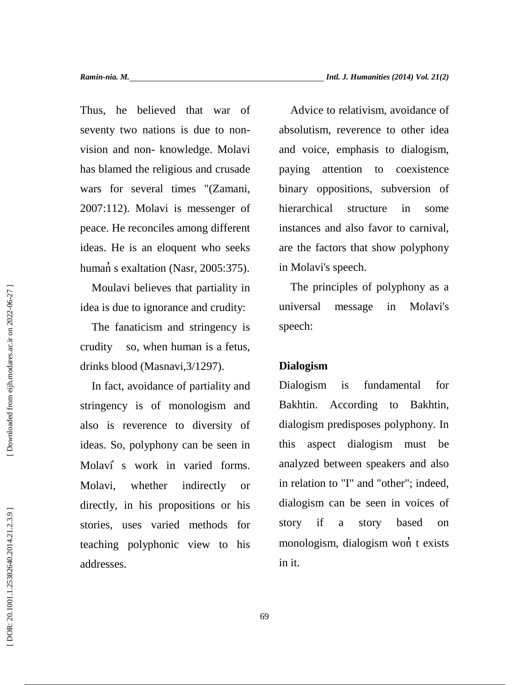Thus, he believed that war of seventy two nations is due to non vision and non- knowledge. Molavi has blamed the religious and crusade paying wars for several times "(Zamani, 2007:112). Molavi is messenger of peace. He reconciles among different ideas. He is an eloquent who seeks human s exaltation (Nasr, 2005:375).

Moulavi believes that partiality in idea is due to ignorance and crudity:

The fanaticism and stringency is crudity so, when human is a fetus, drinks blood (Masnavi,3/1297).

In fact, avoidance of partiality and Dialogism stringency is of monologism and also is reverence to diversity of ideas. So, polyphony can be seen in Molavi s work in varied forms. Molavi, whether indirectly or directly, in his propositions or his stories, uses varied methods for teaching polyphonic view to his addresses.

Advice to relativism, avoidance of absolutism, reverence to other idea and voice, emphasis to dialogism, attention to coexistence binary oppositions, subversion of hierarchical structure in some instances and also favor to carnival, are the factors that show polyphony in Molavi's speech.

The principles of polyphony as a universal message in Molavi's speech:

## **Dialogism**

is fundamental for Bakhtin. According to Bakhtin, dialogism predisposes polyphony. In aspect dialogism must be analyzed between speakers and also in relation to "I" and "other"; indeed, dialogism can be seen in voices of story if a story based on monologism, dialogism won t exists in it.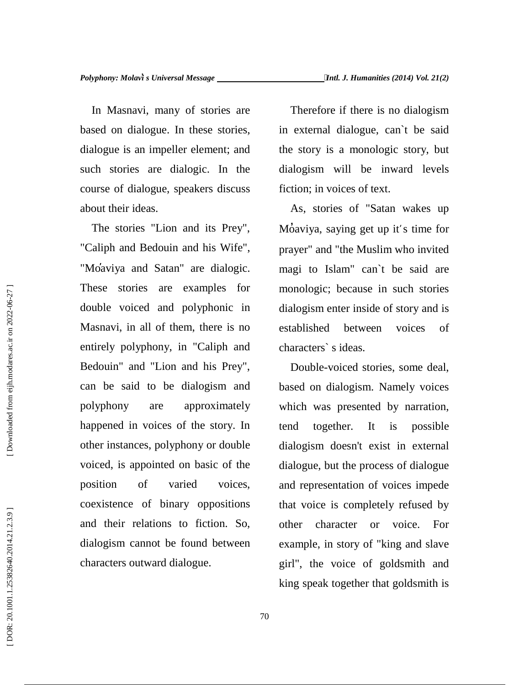In Masnavi, many of stories are based on dialogue. In these stories, dialogue is an impeller element; and such stories are dialogic. In the course of dialogue, speakers discuss about their ideas.

The stories "Lion and its Prey", "Caliph and Bedouin and his Wife", "Moaviya and Satan" are dialogic. These stories are examples for double voiced and polyphonic in Masnavi, in all of them, there is no entirely polyphony, in "Caliph and Bedouin" and "Lion and his Prey", can be said to be dialogism and polyphony are approximately happened in voices of the story. In other instances, polyphony or double voiced, is appointed on basic of the position of varied voices, coexistence of binary oppositions and their relations to fiction. So, dialogism cannot be found between characters outward dialogue.

Therefore if there is no dialogism in external dialogue, can`t be said the story is a monologic story, but dialogism will be inward levels fiction; in voices of text.

As, stories of "Satan wakes up Moaviya, saying get up it's time for prayer" and "the Muslim who invited magi to Islam" can`t be said are monologic; because in such stories dialogism enter inside of story and is established between voices of characters` s ideas.

Double-voiced stories, some deal, based on dialogism. Namely voices which was presented by narration, together. It is possible dialogism doesn't exist in external dialogue, but the process of dialogue and representation of voices impede that voice is completely refused by other character or voice. For example, in story of "king and slave girl", the voice of goldsmith and king speak together that goldsmith is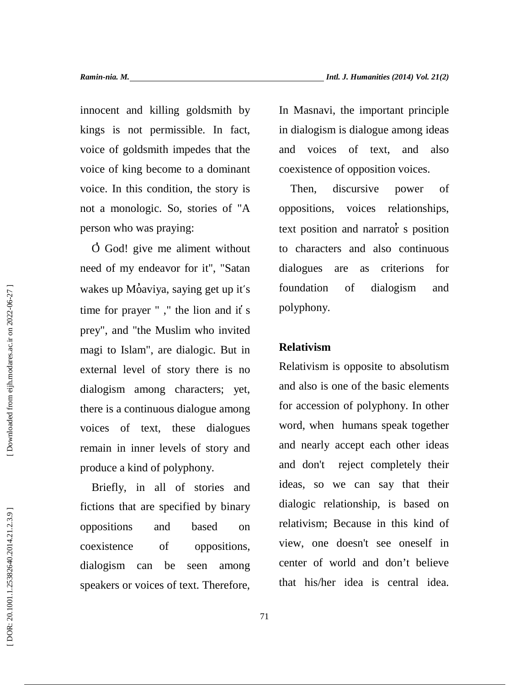innocent and killing goldsmith by kings is not permissible. In fact, voice of goldsmith impedes that the voice of king become to a dominant voice. In this condition, the story is not a monologic. So, stories of "A person who was praying:

O God! give me aliment without need of my endeavor for it", "Satan wakes up Moaviya, saying get up it's foundation time for prayer " ," the lion and it s prey", and "the Muslim who invited magi to Islam", are dialogic. But in external level of story there is no dialogism among characters; yet, there is a continuous dialogue among voices of text, these dialogues remain in inner levels of story and produce a kind of polyphony.

Briefly, in all of stories and fictions that are specified by binary oppositions and based on coexistence of oppositions, dialogism can be seen among speakers or voices of text. Therefore, In Masnavi, the important principle in dialogism is dialogue among ideas and voices of text, and also coexistence of opposition voices.

Then, discursive power of voices relationships, text position and narrator s position to characters and also continuous dialogues are as criterions for of dialogism and polyphony.

### **Relativism**

Relativism is opposite to absolutism and also is one of the basic elements for accession of polyphony. In other word, when humans speak together and nearly accept each other ideas and don't reject completely their ideas, so we can say that their dialogic relationship, is based on relativism; Because in this kind of view, one doesn't see oneself in center of world and don't believe that his/her idea is central idea.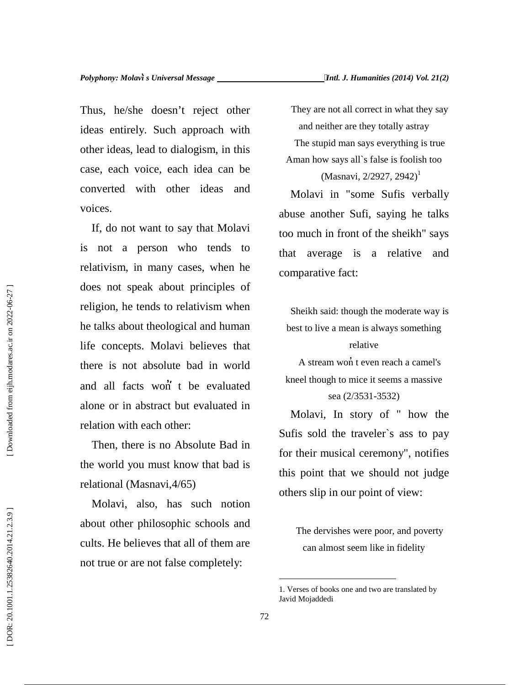Thus, he/she doesn't reject other ideas entirely. Such approach with other ideas, lead to dialogism, in this case, each voice, each idea can be converted with other ideas and voices.

If, do not want to say that Molavi is not a person who tends to relativism, in many cases, when he does not speak about principles of religion, he tends to relativism when he talks about theological and human life concepts. Molavi believes that there is not absolute bad in world and all facts won t be evaluated alone or in abstract but evaluated in relation with each other:

Then, there is no Absolute Bad in the world you must know that bad is relational (Masnavi,4/65)

Molavi, also, has such notion about other philosophic schools and cults. He believes that all of them are not true or are not false completely:

They are not all correct in what they say and neither are they totally astray The stupid man says everything is true

(Masnavi, 2/2927, 2942)<sup>1</sup>

Aman how says all`s false is foolish too

Molavi in "some Sufis verbally abuse another Sufi, saying he talks too much in front of the sheikh" says that average is a relative and comparative fact:

Sheikh said: though the moderate way is best to live a mean is always something

relative

A stream won t even reach a camel's kneel though to mice it seems a massive sea (2/3531-3532)

Molavi, In story of " how the Sufis sold the traveler`s ass to pay for their musical ceremony", notifies this point that we should not judge others slip in our point of view:

The dervishes were poor, and poverty can almost seem like in fidelity

<sup>1.</sup> Verses of books one and two are translated by Javid Mojaddedi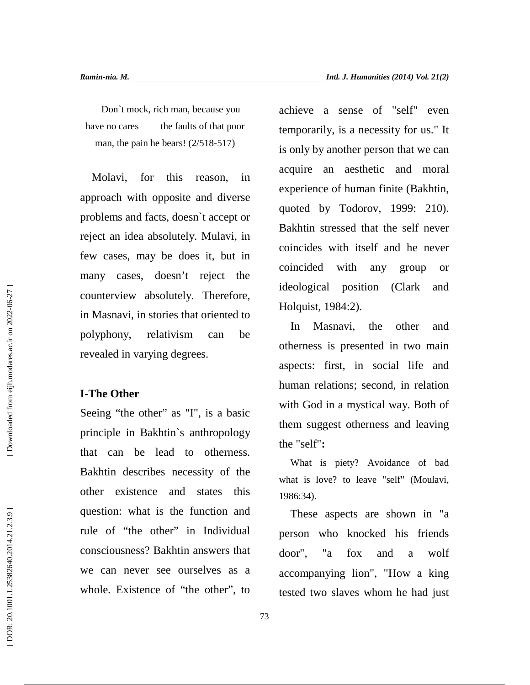Don`t mock, rich man, because you have no cares the faults of that poor man, the pain he bears! (2/518-517)

Molavi, for this reason, in approach with opposite and diverse problems and facts, doesn`t accept or reject an idea absolutely. Mulavi, in few cases, may be does it, but in many cases, doesn't reject the counterview absolutely. Therefore, in Masnavi, in stories that oriented to polyphony, relativism can be revealed in varying degrees.

### **I-The Other**

Seeing "the other" as "I", is a basic principle in Bakhtin`s anthropology that can be lead to otherness. Bakhtin describes necessity of the other existence and states this question: what is the function and rule of "the other" in Individual consciousness? Bakhtin answers that we can never see ourselves as a whole. Existence of "the other", to achieve a sense of "self" even temporarily, is a necessity for us." It is only by another person that we can acquire an aesthetic and moral experience of human finite (Bakhtin, quoted by Todorov, 1999: 210). Bakhtin stressed that the self never coincides with itself and he never coincided with any group or ideological position (Clark and Holquist, 1984:2).

Masnavi, the other and otherness is presented in two main aspects: first, in social life and human relations; second, in relation with God in a mystical way. Both of them suggest otherness and leaving the "self"**:**

What is piety? Avoidance of bad what is love? to leave "self" (Moulavi, 1986:34).

These aspects are shown in "a person who knocked his friends door", "a fox and a wolf accompanying lion", "How a king tested two slaves whom he had just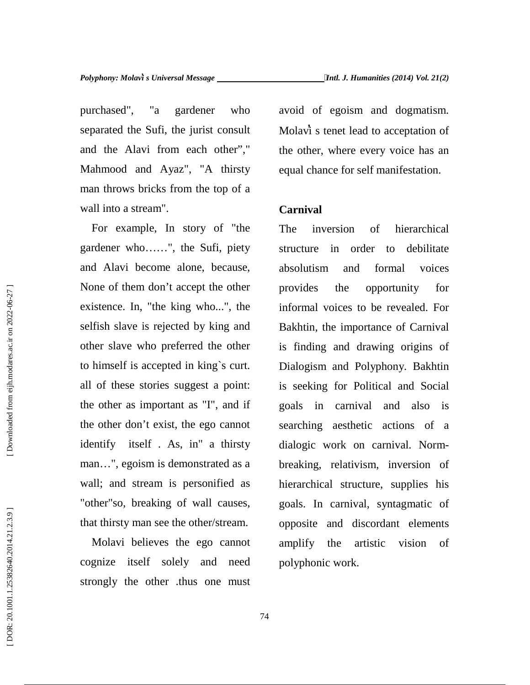purchased", "a gardener who separated the Sufi, the jurist consult and the Alavi from each other"," Mahmood and Ayaz", "A thirsty man throws bricks from the top of a wall into a stream".

For example, In story of "the gardener who……", the Sufi, piety and Alavi become alone, because, None of them don't accept the other provides existence. In, "the king who...", the selfish slave is rejected by king and other slave who preferred the other to himself is accepted in king`s curt. all of these stories suggest a point: the other as important as "I", and if the other don't exist, the ego cannot identify itself . As, in" a thirsty man…", egoism is demonstrated as a wall; and stream is personified as "other"so, breaking of wall causes, that thirsty man see the other/stream.

Molavi believes the ego cannot cognize itself solely and need strongly the other .thus one must avoid of egoism and dogmatism. Molavi s tenet lead to acceptation of the other, where every voice has an equal chance for self manifestation.

## **Carnival**

inversion of hierarchical structure in order to debilitate absolutism and formal voices the opportunity for informal voices to be revealed. For Bakhtin, the importance of Carnival is finding and drawing origins of Dialogism and Polyphony. Bakhtin is seeking for Political and Social goals in carnival and also is searching aesthetic actions of a dialogic work on carnival. Norm breaking, relativism, inversion of hierarchical structure, supplies his goals. In carnival, syntagmatic of opposite and discordant elements amplify the artistic vision of polyphonic work.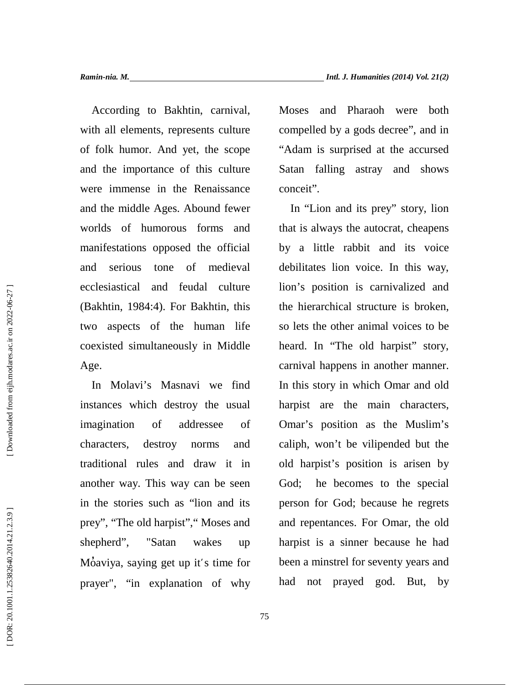According to Bakhtin, carnival, with all elements, represents culture of folk humor. And yet, the scope and the importance of this culture were immense in the Renaissance and the middle Ages. Abound fewer worlds of humorous forms and manifestations opposed the official and serious tone of medieval ecclesiastical and feudal culture (Bakhtin, 1984:4). For Bakhtin, this two aspects of the human life coexisted simultaneously in Middle Age.

In Molavi's Masnavi we find instances which destroy the usual imagination of addressee of characters, destroy norms and traditional rules and draw it in another way. This way can be seen in the stories such as "lion and its prey", "The old harpist"," Moses and shepherd", "Satan wakes up Moaviya, saying get up it's time for prayer", "in explanation of why Moses and Pharaoh were both compelled by a gods decree", and in "Adam is surprised at the accursed Satan falling astray and shows conceit".

In "Lion and its prey" story, lion that is always the autocrat, cheapens by a little rabbit and its voice debilitates lion voice. In this way, lion's position is carnivalized and the hierarchical structure is broken, so lets the other animal voices to be heard. In "The old harpist" story, carnival happens in another manner. In this story in which Omar and old harpist are the main characters, Omar's position as the Muslim's caliph, won't be vilipended but the old harpist's position is arisen by God; he becomes to the special person for God; because he regrets and repentances. For Omar, the old harpist is a sinner because he had been a minstrel for seventy years and had not prayed god. But, by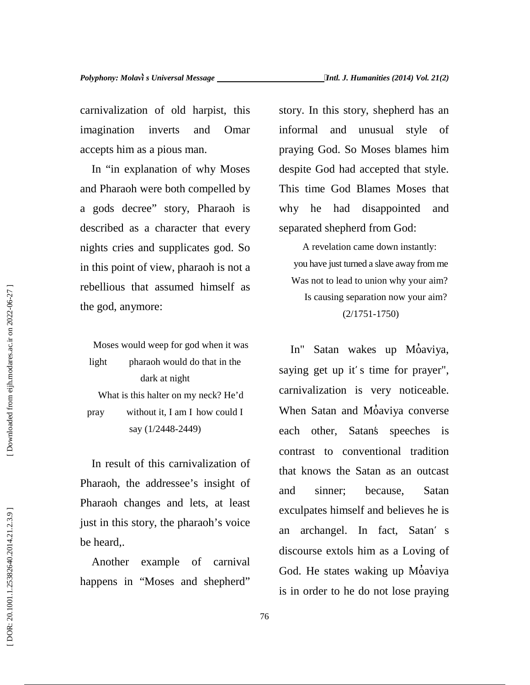carnivalization of old harpist, this imagination inverts and Omar accepts him as a pious man.

In "in explanation of why Moses and Pharaoh were both compelled by a gods decree" story, Pharaoh is described as a character that every nights cries and supplicates god. So in this point of view, pharaoh is not a rebellious that assumed himself as the god, anymore:

Moses would weep for god when it was light pharaoh would do that in the dark at night What is this halter on my neck? He'd pray without it, I am I how could I say (1/2448-2449)

In result of this carnivalization of Pharaoh, the addressee's insight of and Pharaoh changes and lets, at least just in this story, the pharaoh's voice an be heard,.

Another example of carnival happens in "Moses and shepherd" story. In this story, shepherd has an and unusual style of praying God. So Moses blames him despite God had accepted that style. This time God Blames Moses that he had disappointed and separated shepherd from God:

A revelation came down instantly: you have just turned a slave away from me Was not to lead to union why your aim? Is causing separation now your aim? (2/1751-1750)

In" Satan wakes up Moaviya, saying get up it's time for prayer", carnivalization is very noticeable. When Satan and Moaviya converse each other, Satan's speeches is contrast to conventional tradition that knows the Satan as an outcast sinner; because, Satan exculpates himself and believes he is archangel. In fact, Satan's discourse extols him as a Loving of God. He states waking up Moaviya is in order to he do not lose praying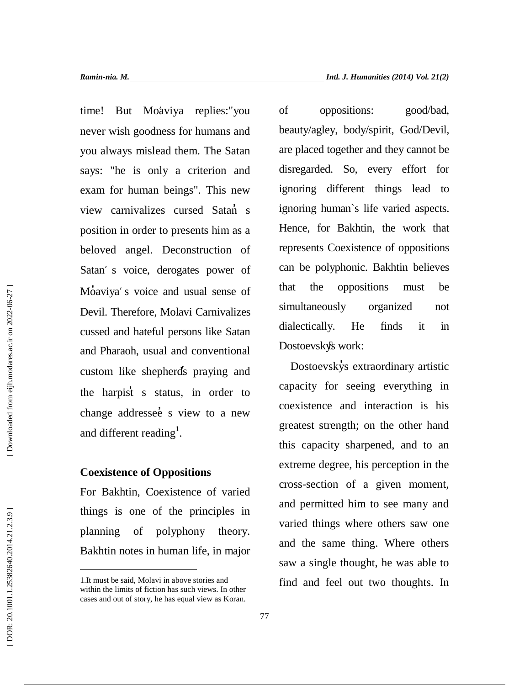time! But Moàviya replies:"you of never wish goodness for humans and you always mislead them. The Satan says: "he is only a criterion and exam for human beings". This new view carnivalizes cursed Satan s position in order to presents him as a beloved angel. Deconstruction of Satan's voice, derogates power of Moaviya's voice and usual sense of that Devil. Therefore, Molavi Carnivalizes cussed and hateful persons like Satan and Pharaoh, usual and conventional custom like shepherds praying and the harpist s status, in order to change addressee s view to a new and different reading<sup>1</sup>.

## **Coexistence of Oppositions**

For Bakhtin, Coexistence of varied things is one of the principles in planning of polyphony theory. Bakhtin notes in human life, in major

oppositions: good/bad, beauty/agley, body/spirit, God/Devil, are placed together and they cannot be disregarded. So, every effort for ignoring different things lead to ignoring human`s life varied aspects. Hence, for Bakhtin, the work that represents Coexistence of oppositions can be polyphonic. Bakhtin believes the oppositions must be simultaneously organized not dialectically. He finds it in that the oppositions<br>simultaneously orga<br>dialectically. He fin<br>Dostoevskys work:<br>Dostoevskys extraord

Dostoevskys extraordinary artistic capacity for seeing everything in coexistence and interaction is his greatest strength; on the other hand this capacity sharpened, and to an extreme degree, his perception in the cross-section of a given moment, and permitted him to see many and varied things where others saw one and the same thing. Where others saw a single thought, he was able to find and feel out two thoughts. In

<sup>1.</sup>It must be said, Molavi in above stories and within the limits of fiction has such views. In other cases and out of story, he has equal view as Koran.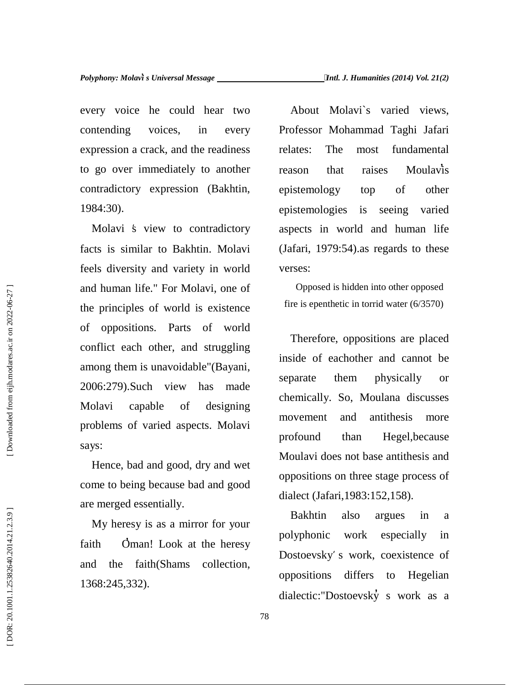every voice he could hear two contending voices, in every expression a crack, and the readiness to go over immediately to another contradictory expression (Bakhtin, 1984:30).

Molavi  $\dot{s}$  view to contradictory facts is similar to Bakhtin. Molavi feels diversity and variety in world and human life." For Molavi, one of the principles of world is existence of oppositions. Parts of world conflict each other, and struggling among them is unavoidable"(Bayani, 2006:279).Such view has made Molavi capable of designing problems of varied aspects. Molavi says:

Hence, bad and good, dry and wet come to being because bad and good are merged essentially.

My heresy is as a mirror for your faith Oman! Look at the heresy and the faith(Shams collection, 1368:245,332).

About Molavi`s varied views, Professor Mohammad Taghi Jafari The most fundamental that raises Moulavis epistemology top of other epistemologies is seeing varied aspects in world and human life (Jafari, 1979:54).as regards to these verses:

Opposed is hidden into other opposed fire is epenthetic in torrid water (6/3570)

Therefore, oppositions are placed inside of eachother and cannot be them physically or chemically. So, Moulana discusses movement and antithesis more profound than Hegel,because Moulavi does not base antithesis and oppositions on three stage process of dialect (Jafari,1983:152,158).

Bakhtin also argues in a polyphonic work especially in Dostoevsky̕ s work, coexistence of oppositions differs to Hegelian dialectic:"Dostoevsky s work as a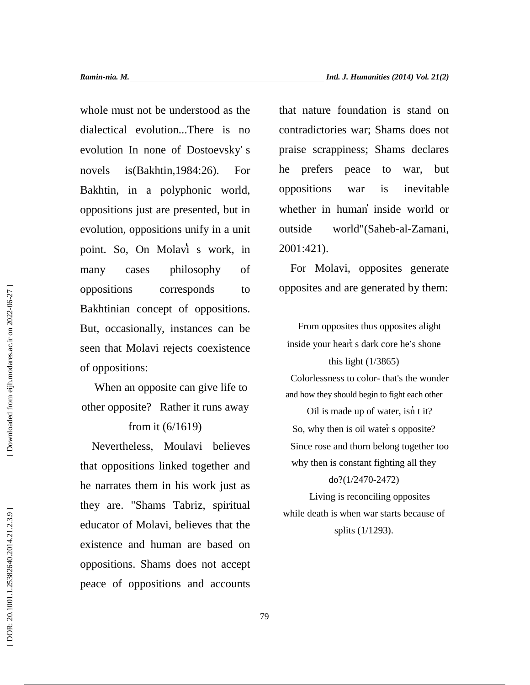whole must not be understood as the dialectical evolution...There is no evolution In none of Dostoevsky's novels is(Bakhtin,1984:26). For Bakhtin, in a polyphonic world, oppositions just are presented, but in evolution, oppositions unify in a unit point. So, On Molavi s work, in many cases philosophy of oppositions corresponds to Bakhtinian concept of oppositions. But, occasionally, instances can be seen that Molavi rejects coexistence of oppositions:

When an opposite can give life to other opposite? Rather it runs away

### from it (6/1619)

Nevertheless, Moulavi believes that oppositions linked together and he narrates them in his work just as they are. "Shams Tabriz, spiritual educator of Molavi, believes that the existence and human are based on oppositions. Shams does not accept peace of oppositions and accounts <table>\n<tbody>\n<tr>\n<th>oppositions</th>\n<th>corresponds</th>\n<th>toppositions</th>\n</tr>\n<tr>\n<td>BAkhtinian concept of oppositions.</td>\n<td>But, occasionally, instances can be</td>\n<td>1</td>\n<td>1</td>\n<td>2</td>\n</tr>\n<tr>\n<td>But, occasionally, instances can be</td>\n<td>1</td>\n<td>2</td>\n</tr>\n<tr>\n<td>see that Molavi rejects coexistence</td>\n<td>inside your heart s dark cor</td>\n</tr>\n<tr>\n<td>useen that Molavi rejects coexistence</td>\n<td>inside your heart s dark cor</td>\n</tr>\n<tr>\n<td>the one of the opposite?</td>\n<td>2</td>\n</tr>\n<tr>\

that nature foundation is stand on contradictories war; Shams does not praise scrappiness; Shams declares he prefers peace to war, but oppositions war is inevitable whether in human inside world or outside world"(Saheb-al-Zamani, 2001:421).

For Molavi, opposites generate opposites and are generated by them:

From opposites thus opposites alight inside your heart s dark core he's shone this light (1/3865) Colorlessness to color- that's the wonder and how they should begin to fight each other Oil is made up of water, isn t it? So, why then is oil water s opposite? Since rose and thorn belong together too why then is constant fighting all they do?(1/2470-2472) Living is reconciling opposites

while death is when war starts because of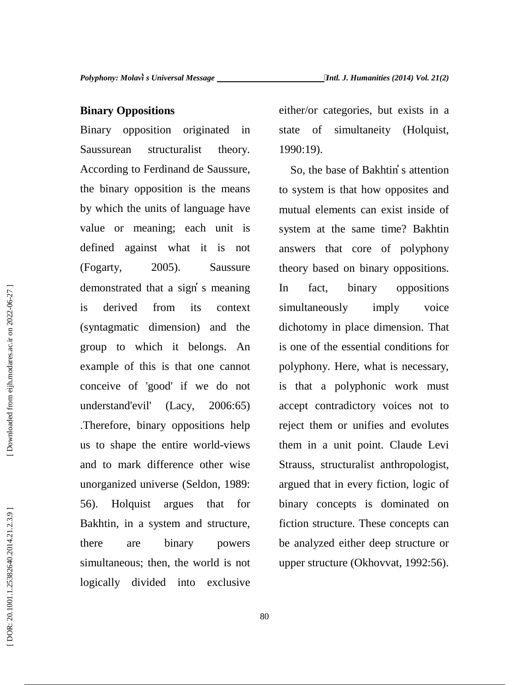#### **Binary Oppositions**

Binary opposition originated in state Saussurean structuralist theory. According to Ferdinand de Saussure, the binary opposition is the means by which the units of language have value or meaning; each unit is defined against what it is not (Fogarty, 2005). Saussure demonstrated that a sign s meaning is derived from its context (syntagmatic dimension) and the group to which it belongs. An example of this is that one cannot conceive of 'good' if we do not understand'evil' (Lacy, 2006:65) .Therefore, binary oppositions help us to shape the entire world-views and to mark difference other wise unorganized universe (Seldon, 1989: 56). Holquist argues that for Bakhtin, in a system and structure, there are binary powers simultaneous; then, the world is not logically divided into exclusive demonstrated that a sign s meaning<br>
is derived from its context simultaneously imply voice<br>
(syntagmatic dimension) and the dichotomy in place dimension. That<br>
group to which it belongs. An is one of the essential conditio

either/or categories, but exists in a of simultaneity (Holquist, 1990:19).

So, the base of Bakhtin s attention to system is that how opposites and mutual elements can exist inside of system at the same time? Bakhtin answers that core of polyphony theory based on binary oppositions. fact, binary oppositions simultaneously imply voice dichotomy in place dimension. That is one of the essential conditions for polyphony. Here, what is necessary, is that a polyphonic work must accept contradictory voices not to reject them or unifies and evolutes them in a unit point. Claude Levi Strauss, structuralist anthropologist, argued that in every fiction, logic of binary concepts is dominated on fiction structure. These concepts can be analyzed either deep structure or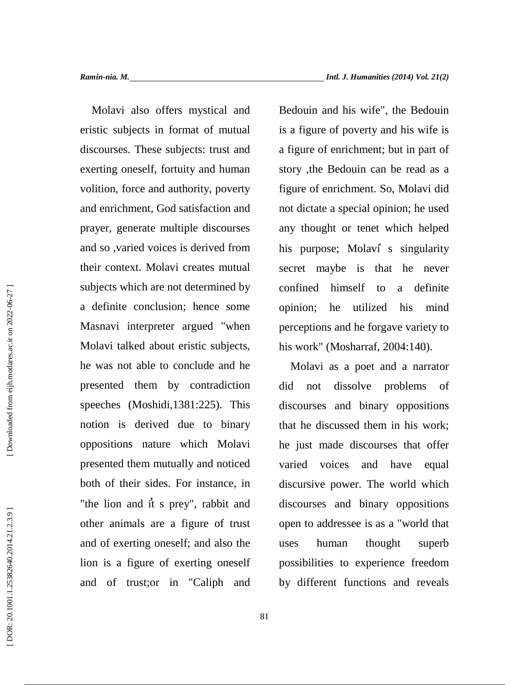Molavi also offers mystical and eristic subjects in format of mutual discourses. These subjects: trust and exerting oneself, fortuity and human volition, force and authority, poverty and enrichment, God satisfaction and prayer, generate multiple discourses and so ,varied voices is derived from their context. Molavi creates mutual subjects which are not determined by confined a definite conclusion; hence some Masnavi interpreter argued "when Molavi talked about eristic subjects, he was not able to conclude and he presented them by contradiction speeches (Moshidi,1381:225). This notion is derived due to binary oppositions nature which Molavi presented them mutually and noticed both of their sides. For instance, in "the lion and it s prey", rabbit and other animals are a figure of trust and of exerting oneself; and also the lion is a figure of exerting oneself and of trust;or in "Caliph and

Bedouin and his wife", the Bedouin is a figure of poverty and his wife is a figure of enrichment; but in part of story ,the Bedouin can be read as a figure of enrichment. So, Molavi did not dictate a special opinion; he used any thought or tenet which helped his purpose; Molavi s singularity secret maybe is that he never himself to a definite opinion; he utilized his mind perceptions and he forgave variety to his work" (Mosharraf, 2004:140).

Molavi as a poet and a narrator not dissolve problems of discourses and binary oppositions that he discussed them in his work; he just made discourses that offer varied voices and have equal discursive power. The world which discourses and binary oppositions open to addressee is as a "world that human thought superb possibilities to experience freedom by different functions and reveals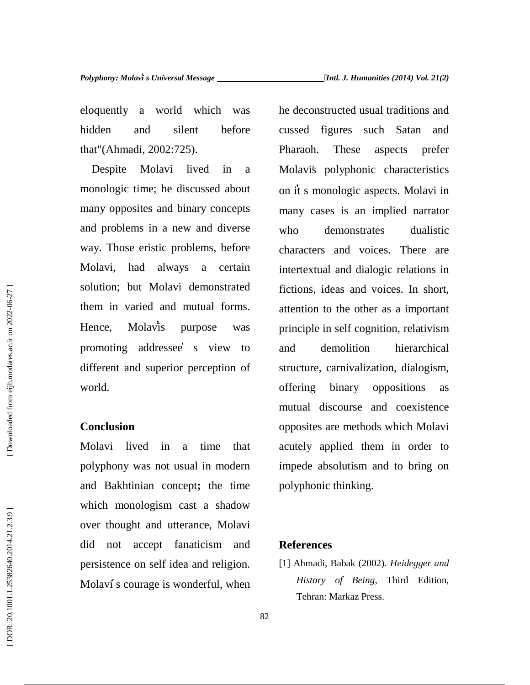eloquently a world which was hidden and silent before that"(Ahmadi, 2002:725).

Despite Molavi lived in a monologic time; he discussed about many opposites and binary concepts and problems in a new and diverse way. Those eristic problems, before Molavi, had always a certain solution; but Molavi demonstrated them in varied and mutual forms. Hence, Molavis purpose was promoting addressee s view to different and superior perception of world.

#### **Conclusion**

Molavi lived in a time that polyphony was not usual in modern and Bakhtinian concept**;** the time which monologism cast a shadow over thought and utterance, Molavi did not accept fanaticism and persistence on self idea and religion. Molavi s courage is wonderful, when he deconstructed usual traditions and cussed figures such Satan and Pharaoh. These aspects prefer Molavi's polyphonic characteristics on it s monologic aspects. Molavi in many cases is an implied narrator demonstrates dualistic characters and voices. There are intertextual and dialogic relations in fictions, ideas and voices. In short, attention to the other as a important principle in self cognition, relativism demolition hierarchical structure, carnivalization, dialogism, offering binary oppositions as mutual discourse and coexistence opposites are methods which Molavi acutely applied them in order to impede absolutism and to bring on polyphonic thinking.

### **References**

[1] Ahmadi, Babak (2002). *Heidegger and History of Being*, Third Edition, Tehran: Markaz Press.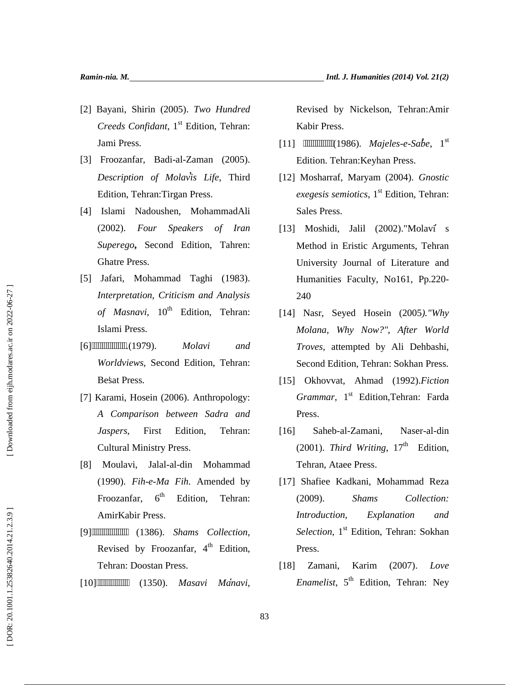- *Creeds Confidant*, 1 st Edition, Tehran: Jami Press.
- [3] Froozanfar, Badi-al-Zaman (2005). *Description of Molavis Life*, Third Edition, Tehran:Tirgan Press.
- 121 Bayani, Shirin (2005). *Two Hundred*<br>
Creeds Confidant, 1<sup>4</sup> Edition, Tchran:<br>
131 Froozanfar, Badi-al-Zaman (2005).<br>
141 Bami Press.<br>
151 Froozanfar, Badi-al-Zaman (2005).<br>
151 Edition, Tehran: Tirgan Press.<br>
141 Isl [4] Islami Nadoushen, MohammadAli (2002). *Four Speakers of Iran Superego***,** Second Edition, Tahren: Ghatre Press.
- [5] Jafari, Mohammad Taghi (1983). *Interpretation, Criticism and Analysis* of Masnavi, 10<sup>th</sup> Edition, Tehran: Islami Press.
- [6]ـــــــــــــــــ.)1979(. *Molavi and Worldviews*, Second Edition, Tehran: Besat Press.
- [7] Karami, Hosein (2006). Anthropology: *A Comparison between Sadra and Jaspers*, First Edition, Tehran: Cultural Ministry Press.
- [8] Moulavi, Jalal-al-din Mohammad (1990). *Fih-e-Ma Fih*. Amended by Froozanfar, 6<sup>th</sup> Edition. Tehran: AmirKabir Press.
- [9]ــــــــــــــــــ) 1386(. *Shams Collection*, Revised by Froozanfar, 4<sup>th</sup> Edition, Tehran: Doostan Press.
- [10]ــــــــــــــــ) 1350(. *Masavi Manavi*,

Revised by Nickelson, Tehran:Amir Kabir Press.

- [11]  $(1986)$ . *Majeles-e-Sabe*,  $1^{st}$ Edition. Tehran:Keyhan Press.
- [12] Mosharraf, Maryam (2004). *Gnostic exegesis semiotics*, 1 st Edition, Tehran: Sales Press.
- [13] Moshidi, Jalil (2002)."Molavi s Method in Eristic Arguments, Tehran University Journal of Literature and Humanities Faculty, No161, Pp.220- 240
- [14] Nasr, Seyed Hosein (2005*)."Why Molana, Why Now?", After World Troves,* attempted by Ali Dehbashi, Second Edition, Tehran: Sokhan Press.
- [15] Okhovvat, Ahmad (1992).*Fiction Grammar*, 1<sup>st</sup> Edition,Tehran: Farda Press.
- [16] Saheb-al-Zamani, Naser-al-din (2001). *Third Writing*,  $17<sup>th</sup>$  Edition, Tehran, Ataee Press.
- [17] Shafiee Kadkani, Mohammad Reza (2009). *Shams Collection: Introduction, Explanation and* Selection, 1<sup>st</sup> Edition, Tehran: Sokhan Press.
- [18] Zamani, Karim (2007). *Love Enamelist*, 5 th Edition, Tehran: Ney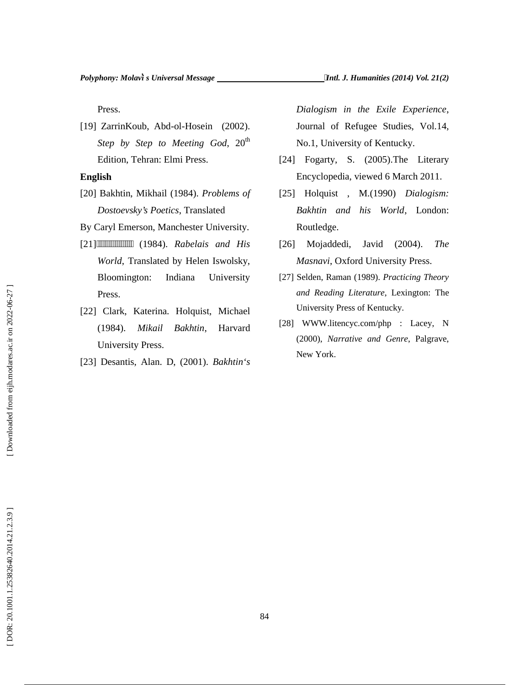Press.

[19] ZarrinKoub, Abd-ol-Hosein (2002). *Step by Step to Meeting God, 20<sup>th</sup>* Edition, Tehran: Elmi Press.

#### **English**

- [20] Bakhtin, Mikhail (1984). *Problems of Dostoevsky's Poetics*, Translated
- By Caryl Emerson, Manchester University.
- [21]ــــــــــــــــــ) 1984(. *Rabelais and His World*, Translated by Helen Iswolsky, Bloomington: Indiana University Press.
- [22] Clark, Katerina. Holquist, Michael (1984). *Mikail Bakhtin*, Harvard University Press.
- [23] Desantis, Alan. D, (2001). *Bakhtin`s*

*Dialogism in the Exile Experience*, Journal of Refugee Studies, Vol.14, No.1, University of Kentucky.

- [24] Fogarty, S. (2005). The Literary Encyclopedia, viewed 6 March 2011.
- [25] Holquist , M.(1990) *Dialogism: Bakhtin and his World*, London: Routledge.
- [26] Mojaddedi, Javid (2004). *The Masnavi*, Oxford University Press.
- [27] Selden, Raman (1989). *Practicing Theory and Reading Literature*, Lexington: The University Press of Kentucky.
- [28] WWW.litencyc.com/php : Lacey, N (2000), *Narrative and Genre*, Palgrave, New York.